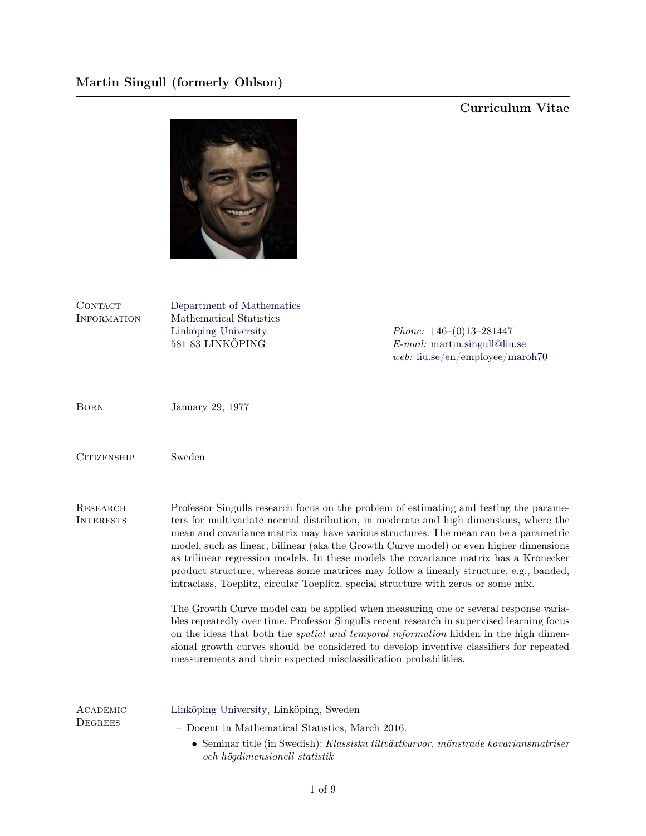## Curriculum Vitae



| CONTACT<br><b>INFORMATION</b> | Department of Mathematics<br>Mathematical Statistics<br>Linköping University<br>581 83 LINKÖPING                                                                                                                                                                                                                                                                                                                                                                                                                                                                                                                                            | <i>Phone:</i> $+46-(0)13-281447$<br>$E$ -mail: martin.singull@liu.se<br>web: $liu.se/en/employee/maxoh70$ |
|-------------------------------|---------------------------------------------------------------------------------------------------------------------------------------------------------------------------------------------------------------------------------------------------------------------------------------------------------------------------------------------------------------------------------------------------------------------------------------------------------------------------------------------------------------------------------------------------------------------------------------------------------------------------------------------|-----------------------------------------------------------------------------------------------------------|
| <b>BORN</b>                   | January 29, 1977                                                                                                                                                                                                                                                                                                                                                                                                                                                                                                                                                                                                                            |                                                                                                           |
| <b>CITIZENSHIP</b>            | Sweden                                                                                                                                                                                                                                                                                                                                                                                                                                                                                                                                                                                                                                      |                                                                                                           |
| RESEARCH<br><b>INTERESTS</b>  | Professor Singulls research focus on the problem of estimating and testing the parame-<br>ters for multivariate normal distribution, in moderate and high dimensions, where the<br>mean and covariance matrix may have various structures. The mean can be a parametric<br>model, such as linear, bilinear (aka the Growth Curve model) or even higher dimensions<br>as trilinear regression models. In these models the covariance matrix has a Kronecker<br>product structure, whereas some matrices may follow a linearly structure, e.g., banded,<br>intraclass, Toeplitz, circular Toeplitz, special structure with zeros or some mix. |                                                                                                           |
|                               | The Growth Curve model can be applied when measuring one or several response varia-<br>bles repeatedly over time. Professor Singulls recent research in supervised learning focus<br>on the ideas that both the <i>spatial and temporal information</i> hidden in the high dimen-<br>sional growth curves should be considered to develop inventive classifiers for repeated<br>measurements and their expected misclassification probabilities.                                                                                                                                                                                            |                                                                                                           |
| ACADEMIC<br><b>DEGREES</b>    | Linköping University, Linköping, Sweden                                                                                                                                                                                                                                                                                                                                                                                                                                                                                                                                                                                                     |                                                                                                           |
|                               | - Docent in Mathematical Statistics, March 2016.                                                                                                                                                                                                                                                                                                                                                                                                                                                                                                                                                                                            |                                                                                                           |
|                               | och högdimensionell statistik                                                                                                                                                                                                                                                                                                                                                                                                                                                                                                                                                                                                               | $\bullet$ Seminar title (in Swedish): Klassiska tillväxtkurvor, mönstrade kovariansmatriser               |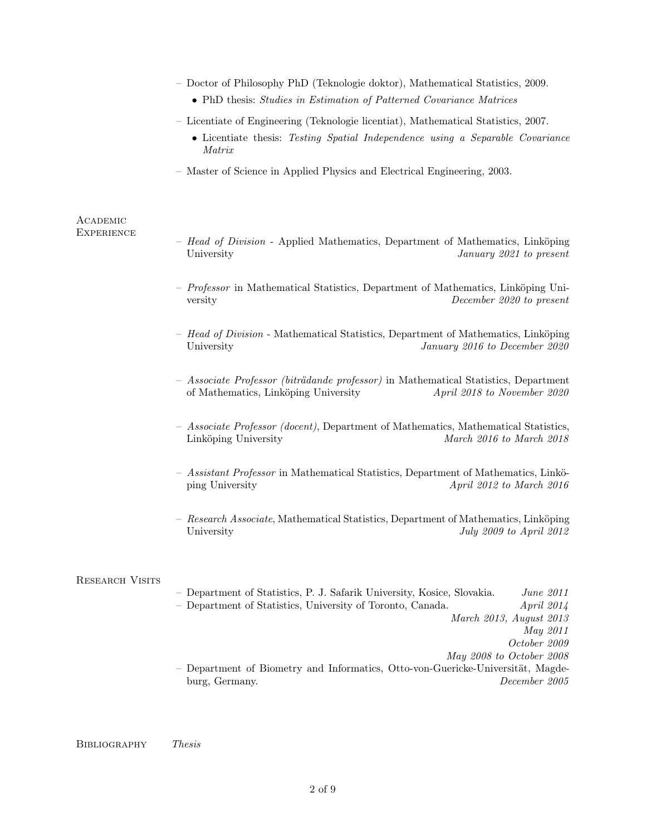|                               | - Doctor of Philosophy PhD (Teknologie doktor), Mathematical Statistics, 2009.<br>• PhD thesis: Studies in Estimation of Patterned Covariance Matrices                                                  |
|-------------------------------|---------------------------------------------------------------------------------------------------------------------------------------------------------------------------------------------------------|
|                               | - Licentiate of Engineering (Teknologie licentiat), Mathematical Statistics, 2007.<br>• Licentiate thesis: Testing Spatial Independence using a Separable Covariance<br>Matrix                          |
|                               | - Master of Science in Applied Physics and Electrical Engineering, 2003.                                                                                                                                |
| ACADEMIC<br><b>EXPERIENCE</b> | - Head of Division - Applied Mathematics, Department of Mathematics, Linköping<br>University<br>January 2021 to present                                                                                 |
|                               | - Professor in Mathematical Statistics, Department of Mathematics, Linköping Uni-<br>December 2020 to present<br>versity                                                                                |
|                               | - Head of Division - Mathematical Statistics, Department of Mathematics, Linköping<br>University<br>January 2016 to December 2020                                                                       |
|                               | - Associate Professor (biträdande professor) in Mathematical Statistics, Department<br>of Mathematics, Linköping University<br>April 2018 to November 2020                                              |
|                               | - Associate Professor (docent), Department of Mathematics, Mathematical Statistics,<br>Linköping University<br>March 2016 to March 2018                                                                 |
|                               | - Assistant Professor in Mathematical Statistics, Department of Mathematics, Linkö-<br>ping University<br>April 2012 to March 2016                                                                      |
|                               | - Research Associate, Mathematical Statistics, Department of Mathematics, Linköping<br>July 2009 to April 2012<br>University                                                                            |
| <b>RESEARCH VISITS</b>        | - Department of Statistics, P. J. Safarik University, Kosice, Slovakia.<br>June 2011<br>- Department of Statistics, University of Toronto, Canada.<br>April 2014<br>March 2013, August 2013<br>May 2011 |
|                               | October 2009<br>May 2008 to October 2008<br>- Department of Biometry and Informatics, Otto-von-Guericke-Universität, Magde-<br>burg, Germany.<br>December 2005                                          |
|                               |                                                                                                                                                                                                         |

 ${\bf BIBLIOGRAPHY} \hspace{0.5cm} The sis$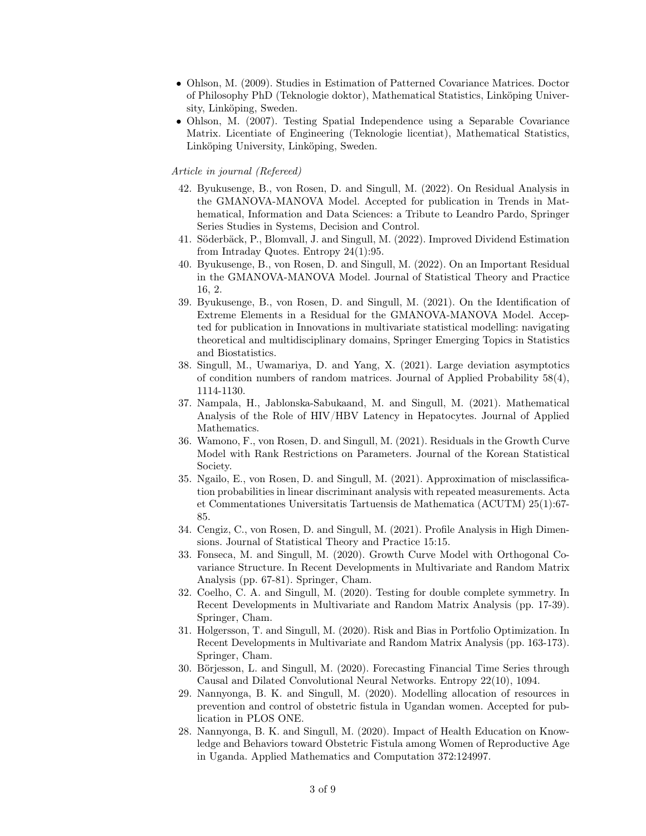- Ohlson, M. (2009). Studies in Estimation of Patterned Covariance Matrices. Doctor of Philosophy PhD (Teknologie doktor), Mathematical Statistics, Linköping University, Linköping, Sweden.
- Ohlson, M. (2007). Testing Spatial Independence using a Separable Covariance Matrix. Licentiate of Engineering (Teknologie licentiat), Mathematical Statistics, Linköping University, Linköping, Sweden.

## Article in journal (Refereed)

- 42. Byukusenge, B., von Rosen, D. and Singull, M. (2022). On Residual Analysis in the GMANOVA-MANOVA Model. Accepted for publication in Trends in Mathematical, Information and Data Sciences: a Tribute to Leandro Pardo, Springer Series Studies in Systems, Decision and Control.
- 41. Söderbäck, P., Blomvall, J. and Singull, M. (2022). Improved Dividend Estimation from Intraday Quotes. Entropy 24(1):95.
- 40. Byukusenge, B., von Rosen, D. and Singull, M. (2022). On an Important Residual in the GMANOVA-MANOVA Model. Journal of Statistical Theory and Practice 16, 2.
- 39. Byukusenge, B., von Rosen, D. and Singull, M. (2021). On the Identification of Extreme Elements in a Residual for the GMANOVA-MANOVA Model. Accepted for publication in Innovations in multivariate statistical modelling: navigating theoretical and multidisciplinary domains, Springer Emerging Topics in Statistics and Biostatistics.
- 38. Singull, M., Uwamariya, D. and Yang, X. (2021). Large deviation asymptotics of condition numbers of random matrices. Journal of Applied Probability 58(4), 1114-1130.
- 37. Nampala, H., Jablonska-Sabukaand, M. and Singull, M. (2021). Mathematical Analysis of the Role of HIV/HBV Latency in Hepatocytes. Journal of Applied Mathematics.
- 36. Wamono, F., von Rosen, D. and Singull, M. (2021). Residuals in the Growth Curve Model with Rank Restrictions on Parameters. Journal of the Korean Statistical Society.
- 35. Ngailo, E., von Rosen, D. and Singull, M. (2021). Approximation of misclassification probabilities in linear discriminant analysis with repeated measurements. Acta et Commentationes Universitatis Tartuensis de Mathematica (ACUTM) 25(1):67- 85.
- 34. Cengiz, C., von Rosen, D. and Singull, M. (2021). Profile Analysis in High Dimensions. Journal of Statistical Theory and Practice 15:15.
- 33. Fonseca, M. and Singull, M. (2020). Growth Curve Model with Orthogonal Covariance Structure. In Recent Developments in Multivariate and Random Matrix Analysis (pp. 67-81). Springer, Cham.
- 32. Coelho, C. A. and Singull, M. (2020). Testing for double complete symmetry. In Recent Developments in Multivariate and Random Matrix Analysis (pp. 17-39). Springer, Cham.
- 31. Holgersson, T. and Singull, M. (2020). Risk and Bias in Portfolio Optimization. In Recent Developments in Multivariate and Random Matrix Analysis (pp. 163-173). Springer, Cham.
- 30. Börjesson, L. and Singull, M. (2020). Forecasting Financial Time Series through Causal and Dilated Convolutional Neural Networks. Entropy 22(10), 1094.
- 29. Nannyonga, B. K. and Singull, M. (2020). Modelling allocation of resources in prevention and control of obstetric fistula in Ugandan women. Accepted for publication in PLOS ONE.
- 28. Nannyonga, B. K. and Singull, M. (2020). Impact of Health Education on Knowledge and Behaviors toward Obstetric Fistula among Women of Reproductive Age in Uganda. Applied Mathematics and Computation 372:124997.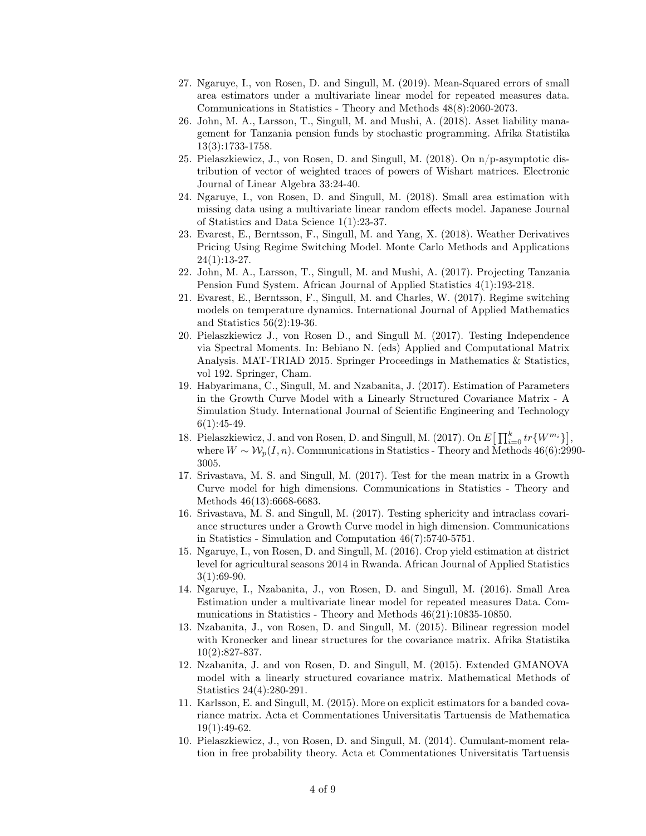- 27. Ngaruye, I., von Rosen, D. and Singull, M. (2019). Mean-Squared errors of small area estimators under a multivariate linear model for repeated measures data. Communications in Statistics - Theory and Methods 48(8):2060-2073.
- 26. John, M. A., Larsson, T., Singull, M. and Mushi, A. (2018). Asset liability management for Tanzania pension funds by stochastic programming. Afrika Statistika 13(3):1733-1758.
- 25. Pielaszkiewicz, J., von Rosen, D. and Singull, M. (2018). On n/p-asymptotic distribution of vector of weighted traces of powers of Wishart matrices. Electronic Journal of Linear Algebra 33:24-40.
- 24. Ngaruye, I., von Rosen, D. and Singull, M. (2018). Small area estimation with missing data using a multivariate linear random effects model. Japanese Journal of Statistics and Data Science 1(1):23-37.
- 23. Evarest, E., Berntsson, F., Singull, M. and Yang, X. (2018). Weather Derivatives Pricing Using Regime Switching Model. Monte Carlo Methods and Applications 24(1):13-27.
- 22. John, M. A., Larsson, T., Singull, M. and Mushi, A. (2017). Projecting Tanzania Pension Fund System. African Journal of Applied Statistics 4(1):193-218.
- 21. Evarest, E., Berntsson, F., Singull, M. and Charles, W. (2017). Regime switching models on temperature dynamics. International Journal of Applied Mathematics and Statistics 56(2):19-36.
- 20. Pielaszkiewicz J., von Rosen D., and Singull M. (2017). Testing Independence via Spectral Moments. In: Bebiano N. (eds) Applied and Computational Matrix Analysis. MAT-TRIAD 2015. Springer Proceedings in Mathematics & Statistics, vol 192. Springer, Cham.
- 19. Habyarimana, C., Singull, M. and Nzabanita, J. (2017). Estimation of Parameters in the Growth Curve Model with a Linearly Structured Covariance Matrix - A Simulation Study. International Journal of Scientific Engineering and Technology  $6(1):45-49.$
- 18. Pielaszkiewicz, J. and von Rosen, D. and Singull, M. (2017). On  $E\left[\prod_{i=0}^{k}tr\{W^{m_i}\}\right]$ , where  $W \sim \mathcal{W}_n(I, n)$ . Communications in Statistics - Theory and Methods 46(6):2990-3005.
- 17. Srivastava, M. S. and Singull, M. (2017). Test for the mean matrix in a Growth Curve model for high dimensions. Communications in Statistics - Theory and Methods 46(13):6668-6683.
- 16. Srivastava, M. S. and Singull, M. (2017). Testing sphericity and intraclass covariance structures under a Growth Curve model in high dimension. Communications in Statistics - Simulation and Computation 46(7):5740-5751.
- 15. Ngaruye, I., von Rosen, D. and Singull, M. (2016). Crop yield estimation at district level for agricultural seasons 2014 in Rwanda. African Journal of Applied Statistics  $3(1):69-90.$
- 14. Ngaruye, I., Nzabanita, J., von Rosen, D. and Singull, M. (2016). Small Area Estimation under a multivariate linear model for repeated measures Data. Communications in Statistics - Theory and Methods 46(21):10835-10850.
- 13. Nzabanita, J., von Rosen, D. and Singull, M. (2015). Bilinear regression model with Kronecker and linear structures for the covariance matrix. Afrika Statistika 10(2):827-837.
- 12. Nzabanita, J. and von Rosen, D. and Singull, M. (2015). Extended GMANOVA model with a linearly structured covariance matrix. Mathematical Methods of Statistics 24(4):280-291.
- 11. Karlsson, E. and Singull, M. (2015). More on explicit estimators for a banded covariance matrix. Acta et Commentationes Universitatis Tartuensis de Mathematica  $19(1):49-62.$
- 10. Pielaszkiewicz, J., von Rosen, D. and Singull, M. (2014). Cumulant-moment relation in free probability theory. Acta et Commentationes Universitatis Tartuensis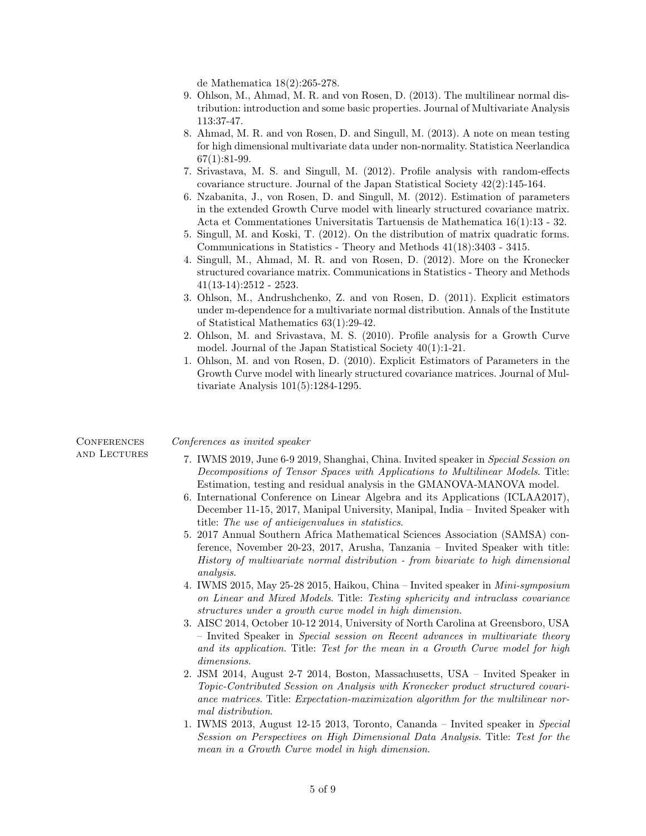de Mathematica 18(2):265-278.

- 9. Ohlson, M., Ahmad, M. R. and von Rosen, D. (2013). The multilinear normal distribution: introduction and some basic properties. Journal of Multivariate Analysis 113:37-47.
- 8. Ahmad, M. R. and von Rosen, D. and Singull, M. (2013). A note on mean testing for high dimensional multivariate data under non-normality. Statistica Neerlandica  $67(1):81-99.$
- 7. Srivastava, M. S. and Singull, M. (2012). Profile analysis with random-effects covariance structure. Journal of the Japan Statistical Society 42(2):145-164.
- 6. Nzabanita, J., von Rosen, D. and Singull, M. (2012). Estimation of parameters in the extended Growth Curve model with linearly structured covariance matrix. Acta et Commentationes Universitatis Tartuensis de Mathematica 16(1):13 - 32.
- 5. Singull, M. and Koski, T. (2012). On the distribution of matrix quadratic forms. Communications in Statistics - Theory and Methods 41(18):3403 - 3415.
- 4. Singull, M., Ahmad, M. R. and von Rosen, D. (2012). More on the Kronecker structured covariance matrix. Communications in Statistics - Theory and Methods 41(13-14):2512 - 2523.
- 3. Ohlson, M., Andrushchenko, Z. and von Rosen, D. (2011). Explicit estimators under m-dependence for a multivariate normal distribution. Annals of the Institute of Statistical Mathematics 63(1):29-42.
- 2. Ohlson, M. and Srivastava, M. S. (2010). Profile analysis for a Growth Curve model. Journal of the Japan Statistical Society 40(1):1-21.
- 1. Ohlson, M. and von Rosen, D. (2010). Explicit Estimators of Parameters in the Growth Curve model with linearly structured covariance matrices. Journal of Multivariate Analysis 101(5):1284-1295.

| CONFERENCES  | Conferences as invited speaker                                                                                                                                                                                                                                                                                                                                                                                                                                                                                                                                                                                                                                                                                                                                                                                                                                                                                                                                                                                                                                                                                                                                                                                                                                                                                                                                                                                                                                                                                                                                                                                                                                                                                                                                             |
|--------------|----------------------------------------------------------------------------------------------------------------------------------------------------------------------------------------------------------------------------------------------------------------------------------------------------------------------------------------------------------------------------------------------------------------------------------------------------------------------------------------------------------------------------------------------------------------------------------------------------------------------------------------------------------------------------------------------------------------------------------------------------------------------------------------------------------------------------------------------------------------------------------------------------------------------------------------------------------------------------------------------------------------------------------------------------------------------------------------------------------------------------------------------------------------------------------------------------------------------------------------------------------------------------------------------------------------------------------------------------------------------------------------------------------------------------------------------------------------------------------------------------------------------------------------------------------------------------------------------------------------------------------------------------------------------------------------------------------------------------------------------------------------------------|
| and Lectures | 7. IWMS 2019, June 6-9 2019, Shanghai, China. Invited speaker in Special Session on<br>Decompositions of Tensor Spaces with Applications to Multilinear Models. Title:<br>Estimation, testing and residual analysis in the GMANOVA-MANOVA model.<br>6. International Conference on Linear Algebra and its Applications (ICLAA2017),<br>December 11-15, 2017, Manipal University, Manipal, India – Invited Speaker with<br>title: The use of antieigenvalues in statistics.<br>5. 2017 Annual Southern Africa Mathematical Sciences Association (SAMSA) con-<br>ference, November 20-23, 2017, Arusha, Tanzania – Invited Speaker with title:<br>History of multivariate normal distribution - from bivariate to high dimensional<br><i>analysis.</i><br>4. IWMS 2015, May 25-28 2015, Haikou, China - Invited speaker in <i>Mini-symposium</i><br>on Linear and Mixed Models. Title: Testing sphericity and intraclass covariance<br>structures under a growth curve model in high dimension.<br>3. AISC 2014, October 10-12 2014, University of North Carolina at Greensboro, USA<br>- Invited Speaker in Special session on Recent advances in multivariate theory<br>and its application. Title: Test for the mean in a Growth Curve model for high<br>dimensions.<br>2. JSM 2014, August 2-7 2014, Boston, Massachusetts, USA – Invited Speaker in<br>Topic-Contributed Session on Analysis with Kronecker product structured covari-<br>ance matrices. Title: Expectation-maximization algorithm for the multilinear nor-<br>mal distribution.<br>1. IWMS 2013, August 12-15 2013, Toronto, Cananda – Invited speaker in Special<br>Session on Perspectives on High Dimensional Data Analysis. Title: Test for the<br>mean in a Growth Curve model in high dimension. |
|              |                                                                                                                                                                                                                                                                                                                                                                                                                                                                                                                                                                                                                                                                                                                                                                                                                                                                                                                                                                                                                                                                                                                                                                                                                                                                                                                                                                                                                                                                                                                                                                                                                                                                                                                                                                            |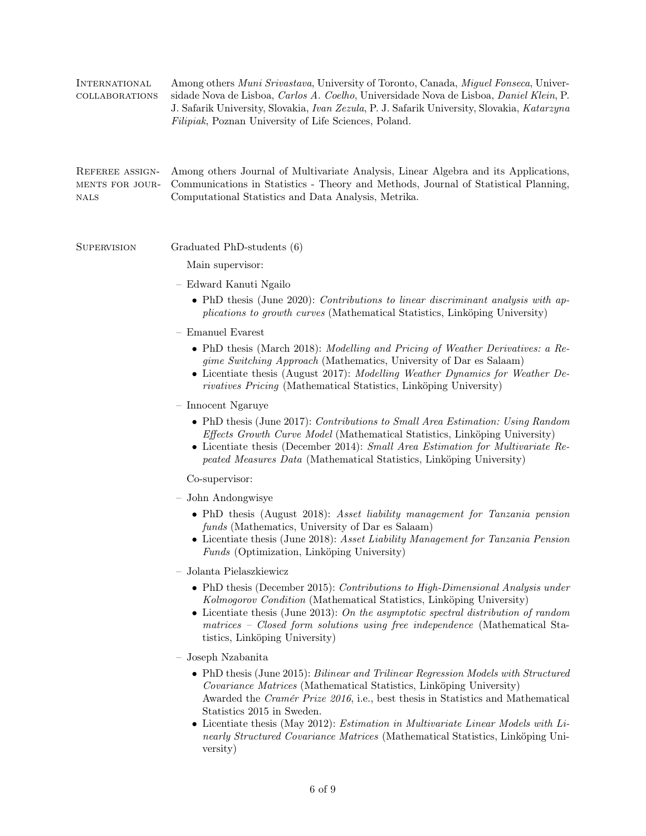| <b>INTERNATIONAL</b><br>COLLABORATIONS     | Among others Muni Srivastava, University of Toronto, Canada, Miguel Fonseca, Univer-<br>sidade Nova de Lisboa, Carlos A. Coelho, Universidade Nova de Lisboa, Daniel Klein, P.<br>J. Safarik University, Slovakia, Ivan Zezula, P. J. Safarik University, Slovakia, Katarzyna<br>Filipiak, Poznan University of Life Sciences, Poland.                                  |
|--------------------------------------------|-------------------------------------------------------------------------------------------------------------------------------------------------------------------------------------------------------------------------------------------------------------------------------------------------------------------------------------------------------------------------|
| REFEREE ASSIGN-<br>MENTS FOR JOUR-<br>NALS | Among others Journal of Multivariate Analysis, Linear Algebra and its Applications,<br>Communications in Statistics - Theory and Methods, Journal of Statistical Planning,<br>Computational Statistics and Data Analysis, Metrika.                                                                                                                                      |
| <b>SUPERVISION</b>                         | Graduated PhD-students (6)                                                                                                                                                                                                                                                                                                                                              |
|                                            | Main supervisor:                                                                                                                                                                                                                                                                                                                                                        |
|                                            | - Edward Kanuti Ngailo                                                                                                                                                                                                                                                                                                                                                  |
|                                            | • PhD thesis (June 2020): Contributions to linear discriminant analysis with ap-<br><i>plications to growth curves</i> (Mathematical Statistics, Linköping University)                                                                                                                                                                                                  |
|                                            | $-$ Emanuel Evarest                                                                                                                                                                                                                                                                                                                                                     |
|                                            | • PhD thesis (March 2018): Modelling and Pricing of Weather Derivatives: a Re-<br>gime Switching Approach (Mathematics, University of Dar es Salaam)<br>• Licentiate thesis (August 2017): Modelling Weather Dynamics for Weather De-<br><i>rivatives Pricing</i> (Mathematical Statistics, Linköping University)                                                       |
|                                            | - Innocent Ngaruye                                                                                                                                                                                                                                                                                                                                                      |
|                                            | • PhD thesis (June 2017): Contributions to Small Area Estimation: Using Random<br><i>Effects Growth Curve Model</i> (Mathematical Statistics, Linköping University)<br>• Licentiate thesis (December 2014): Small Area Estimation for Multivariate Re-<br>peated Measures Data (Mathematical Statistics, Linköping University)                                          |
|                                            | Co-supervisor:                                                                                                                                                                                                                                                                                                                                                          |
|                                            | John Andongwisye<br>$\overline{\phantom{a}}$                                                                                                                                                                                                                                                                                                                            |
|                                            | • PhD thesis (August 2018): Asset liability management for Tanzania pension<br>funds (Mathematics, University of Dar es Salaam)<br>• Licentiate thesis (June 2018): Asset Liability Management for Tanzania Pension<br>Funds (Optimization, Linköping University)                                                                                                       |
|                                            | - Jolanta Pielaszkiewicz                                                                                                                                                                                                                                                                                                                                                |
|                                            | • PhD thesis (December 2015): Contributions to High-Dimensional Analysis under<br>Kolmogorov Condition (Mathematical Statistics, Linköping University)<br>• Licentiate thesis (June 2013): On the asymptotic spectral distribution of random<br>matrices - Closed form solutions using free independence (Mathematical Sta-<br>tistics, Linköping University)           |
|                                            | Joseph Nzabanita<br>$\overline{\phantom{a}}$                                                                                                                                                                                                                                                                                                                            |
|                                            | • PhD thesis (June 2015): Bilinear and Trilinear Regression Models with Structured<br>Covariance Matrices (Mathematical Statistics, Linköping University)<br>Awarded the Cramér Prize 2016, i.e., best thesis in Statistics and Mathematical<br>Statistics 2015 in Sweden.<br>• Licentiate thesis (May 2012): <i>Estimation in Multivariate Linear Models with Li</i> - |

nearly Structured Covariance Matrices (Mathematical Statistics, Linköping University)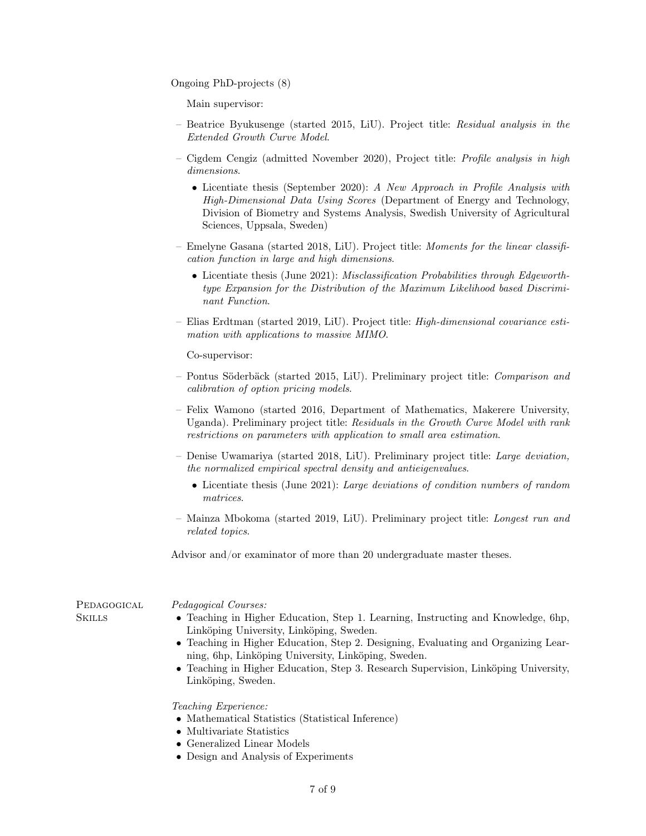Ongoing PhD-projects (8)

Main supervisor:

- Beatrice Byukusenge (started 2015, LiU). Project title: Residual analysis in the Extended Growth Curve Model.
- Cigdem Cengiz (admitted November 2020), Project title: Profile analysis in high dimensions.
	- Licentiate thesis (September 2020): A New Approach in Profile Analysis with High-Dimensional Data Using Scores (Department of Energy and Technology, Division of Biometry and Systems Analysis, Swedish University of Agricultural Sciences, Uppsala, Sweden)
- Emelyne Gasana (started 2018, LiU). Project title: Moments for the linear classification function in large and high dimensions.
	- Licentiate thesis (June 2021): *Misclassification Probabilities through Edgeworth*type Expansion for the Distribution of the Maximum Likelihood based Discriminant Function.
- Elias Erdtman (started 2019, LiU). Project title: High-dimensional covariance estimation with applications to massive MIMO.

Co-supervisor:

- Pontus Söderbäck (started 2015, LiU). Preliminary project title: Comparison and calibration of option pricing models.
- Felix Wamono (started 2016, Department of Mathematics, Makerere University, Uganda). Preliminary project title: Residuals in the Growth Curve Model with rank restrictions on parameters with application to small area estimation.
- Denise Uwamariya (started 2018, LiU). Preliminary project title: Large deviation, the normalized empirical spectral density and antieigenvalues.
	- Licentiate thesis (June 2021): Large deviations of condition numbers of random matrices.
- Mainza Mbokoma (started 2019, LiU). Preliminary project title: Longest run and related topics.

Advisor and/or examinator of more than 20 undergraduate master theses.

| PEDAGOGICAL | <i>Pedagogical Courses:</i>                                                                                                                                                                                                                                                                                                                                                             |
|-------------|-----------------------------------------------------------------------------------------------------------------------------------------------------------------------------------------------------------------------------------------------------------------------------------------------------------------------------------------------------------------------------------------|
| Skills      | • Teaching in Higher Education, Step 1. Learning, Instructing and Knowledge, 6hp,<br>Linköping University, Linköping, Sweden.<br>• Teaching in Higher Education, Step 2. Designing, Evaluating and Organizing Lear-<br>ning, 6hp, Linköping University, Linköping, Sweden.<br>• Teaching in Higher Education, Step 3. Research Supervision, Linköping University,<br>Linköping, Sweden. |
|             | <i>Teaching Experience:</i>                                                                                                                                                                                                                                                                                                                                                             |

- Mathematical Statistics (Statistical Inference)
- Multivariate Statistics
- Generalized Linear Models
- Design and Analysis of Experiments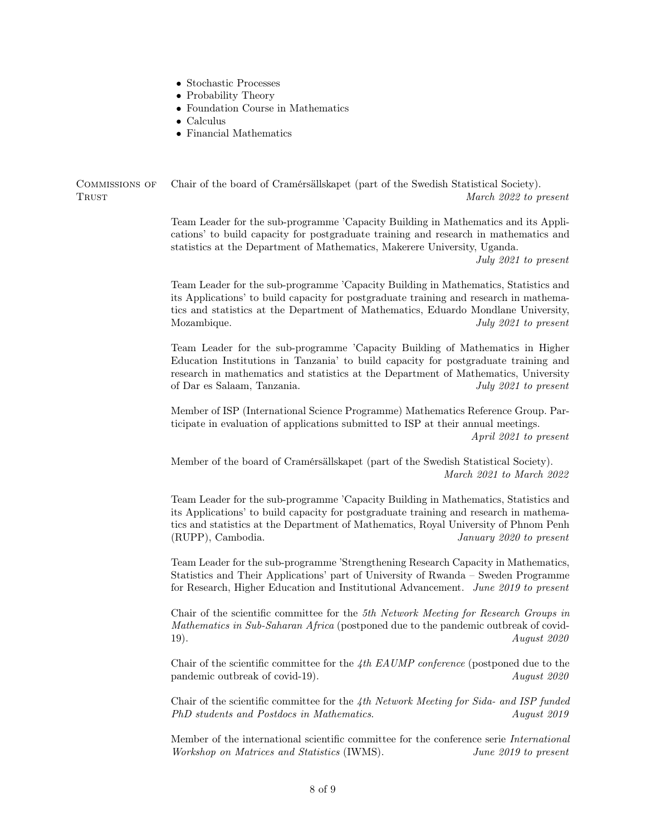- Stochastic Processes
- Probability Theory
- Foundation Course in Mathematics
- Calculus
- Financial Mathematics

Commissions of Chair of the board of Cramérsällskapet (part of the Swedish Statistical Society). TRUST TRUST TRUST TRUST TRUST TRUST TRUST TRUST TRUST TRUST TRUST TRUST TRUST TRUST TRUST TRUST TRUST TRUST TRUST TRUST TRUST TRUST TRUST TRUST TRUST TRUST TRUST TRUST TRUST TRUST TRUST TRUST TRUST TRUST TRUST TRUST TRUST

> Team Leader for the sub-programme 'Capacity Building in Mathematics and its Applications' to build capacity for postgraduate training and research in mathematics and statistics at the Department of Mathematics, Makerere University, Uganda.

> > July 2021 to present

Team Leader for the sub-programme 'Capacity Building in Mathematics, Statistics and its Applications' to build capacity for postgraduate training and research in mathematics and statistics at the Department of Mathematics, Eduardo Mondlane University, Mozambique. July 2021 to present

Team Leader for the sub-programme 'Capacity Building of Mathematics in Higher Education Institutions in Tanzania' to build capacity for postgraduate training and research in mathematics and statistics at the Department of Mathematics, University of Dar es Salaam, Tanzania. July 2021 to present

Member of ISP (International Science Programme) Mathematics Reference Group. Participate in evaluation of applications submitted to ISP at their annual meetings. April 2021 to present

Member of the board of Cramérsällskapet (part of the Swedish Statistical Society). March 2021 to March 2022

Team Leader for the sub-programme 'Capacity Building in Mathematics, Statistics and its Applications' to build capacity for postgraduate training and research in mathematics and statistics at the Department of Mathematics, Royal University of Phnom Penh (RUPP), Cambodia. January 2020 to present

Team Leader for the sub-programme 'Strengthening Research Capacity in Mathematics, Statistics and Their Applications' part of University of Rwanda – Sweden Programme for Research, Higher Education and Institutional Advancement. June 2019 to present

Chair of the scientific committee for the 5th Network Meeting for Research Groups in Mathematics in Sub-Saharan Africa (postponed due to the pandemic outbreak of covid-19). August 2020

Chair of the scientific committee for the 4th EAUMP conference (postponed due to the pandemic outbreak of covid-19). August 2020

Chair of the scientific committee for the  $4th$  Network Meeting for Sida- and ISP funded PhD students and Postdocs in Mathematics. August 2019

Member of the international scientific committee for the conference serie International Workshop on Matrices and Statistics (IWMS). June 2019 to present